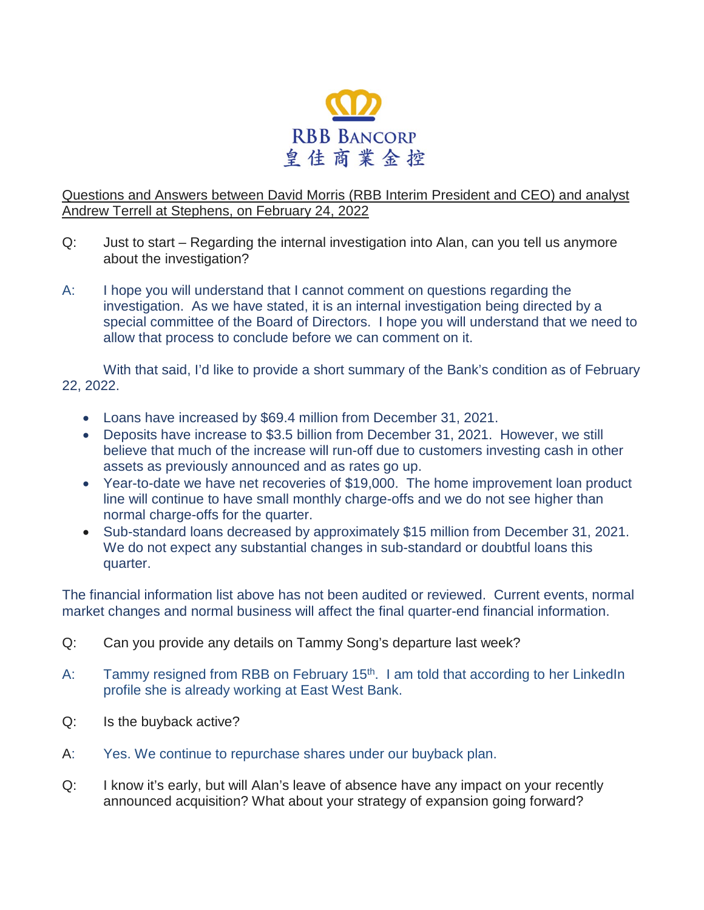

## Questions and Answers between David Morris (RBB Interim President and CEO) and analyst Andrew Terrell at Stephens, on February 24, 2022

- Q: Just to start Regarding the internal investigation into Alan, can you tell us anymore about the investigation?
- A: I hope you will understand that I cannot comment on questions regarding the investigation. As we have stated, it is an internal investigation being directed by a special committee of the Board of Directors. I hope you will understand that we need to allow that process to conclude before we can comment on it.

With that said, I'd like to provide a short summary of the Bank's condition as of February 22, 2022.

- Loans have increased by \$69.4 million from December 31, 2021.
- Deposits have increase to \$3.5 billion from December 31, 2021. However, we still believe that much of the increase will run-off due to customers investing cash in other assets as previously announced and as rates go up.
- Year-to-date we have net recoveries of \$19,000. The home improvement loan product line will continue to have small monthly charge-offs and we do not see higher than normal charge-offs for the quarter.
- Sub-standard loans decreased by approximately \$15 million from December 31, 2021. We do not expect any substantial changes in sub-standard or doubtful loans this quarter.

The financial information list above has not been audited or reviewed. Current events, normal market changes and normal business will affect the final quarter-end financial information.

- Q: Can you provide any details on Tammy Song's departure last week?
- A: Tammy resigned from RBB on February 15<sup>th</sup>. I am told that according to her LinkedIn profile she is already working at East West Bank.
- Q: Is the buyback active?
- A: Yes. We continue to repurchase shares under our buyback plan.
- Q: I know it's early, but will Alan's leave of absence have any impact on your recently announced acquisition? What about your strategy of expansion going forward?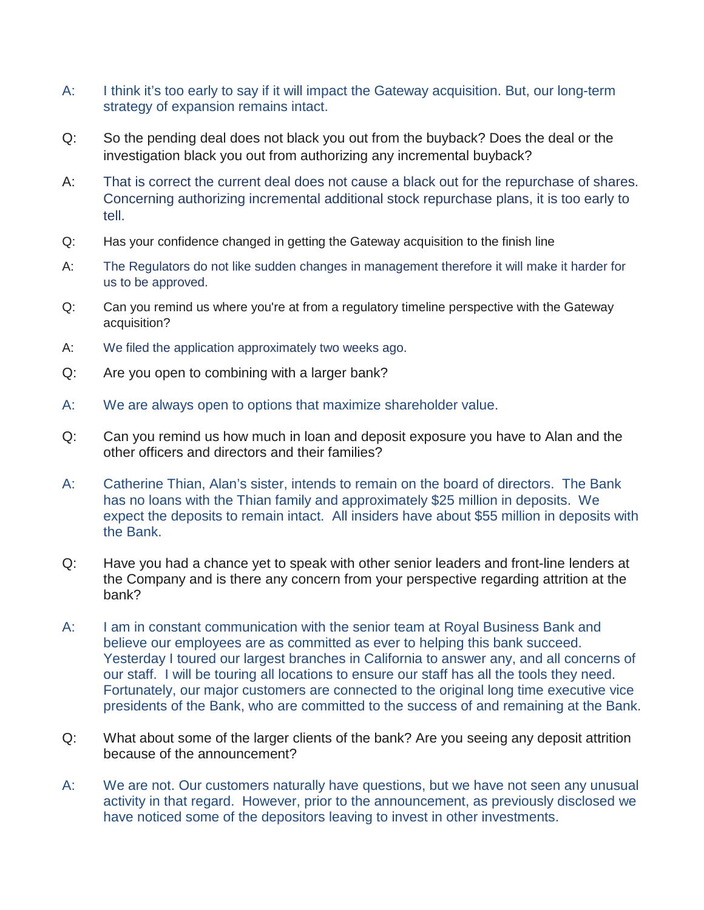- A: I think it's too early to say if it will impact the Gateway acquisition. But, our long-term strategy of expansion remains intact.
- Q: So the pending deal does not black you out from the buyback? Does the deal or the investigation black you out from authorizing any incremental buyback?
- A: That is correct the current deal does not cause a black out for the repurchase of shares. Concerning authorizing incremental additional stock repurchase plans, it is too early to tell.
- Q: Has your confidence changed in getting the Gateway acquisition to the finish line
- A: The Regulators do not like sudden changes in management therefore it will make it harder for us to be approved.
- Q: Can you remind us where you're at from a regulatory timeline perspective with the Gateway acquisition?
- A: We filed the application approximately two weeks ago.
- Q: Are you open to combining with a larger bank?
- A: We are always open to options that maximize shareholder value.
- Q: Can you remind us how much in loan and deposit exposure you have to Alan and the other officers and directors and their families?
- A: Catherine Thian, Alan's sister, intends to remain on the board of directors. The Bank has no loans with the Thian family and approximately \$25 million in deposits. We expect the deposits to remain intact. All insiders have about \$55 million in deposits with the Bank.
- Q: Have you had a chance yet to speak with other senior leaders and front-line lenders at the Company and is there any concern from your perspective regarding attrition at the bank?
- A: I am in constant communication with the senior team at Royal Business Bank and believe our employees are as committed as ever to helping this bank succeed. Yesterday I toured our largest branches in California to answer any, and all concerns of our staff. I will be touring all locations to ensure our staff has all the tools they need. Fortunately, our major customers are connected to the original long time executive vice presidents of the Bank, who are committed to the success of and remaining at the Bank.
- Q: What about some of the larger clients of the bank? Are you seeing any deposit attrition because of the announcement?
- A: We are not. Our customers naturally have questions, but we have not seen any unusual activity in that regard. However, prior to the announcement, as previously disclosed we have noticed some of the depositors leaving to invest in other investments.